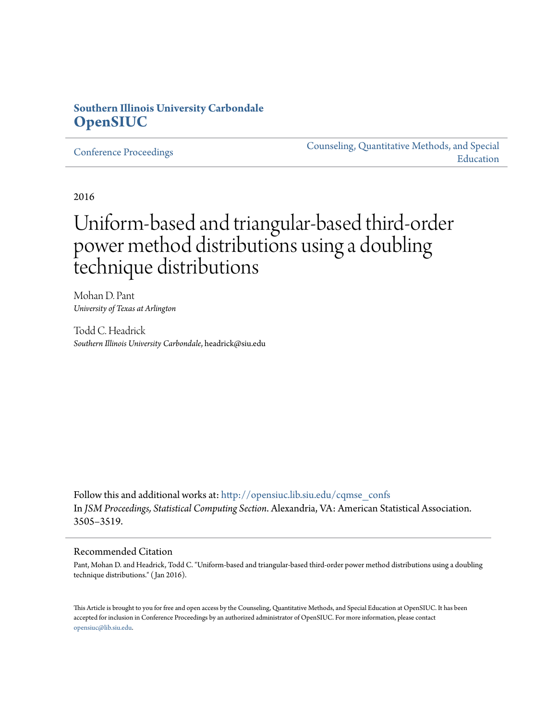# **Southern Illinois University Carbondale [OpenSIUC](http://opensiuc.lib.siu.edu?utm_source=opensiuc.lib.siu.edu%2Fcqmse_confs%2F1&utm_medium=PDF&utm_campaign=PDFCoverPages)**

[Conference Proceedings](http://opensiuc.lib.siu.edu/cqmse_confs?utm_source=opensiuc.lib.siu.edu%2Fcqmse_confs%2F1&utm_medium=PDF&utm_campaign=PDFCoverPages)

[Counseling, Quantitative Methods, and Special](http://opensiuc.lib.siu.edu/cqmse?utm_source=opensiuc.lib.siu.edu%2Fcqmse_confs%2F1&utm_medium=PDF&utm_campaign=PDFCoverPages) [Education](http://opensiuc.lib.siu.edu/cqmse?utm_source=opensiuc.lib.siu.edu%2Fcqmse_confs%2F1&utm_medium=PDF&utm_campaign=PDFCoverPages)

2016

# Uniform-based and triangular-based third-order power method distributions using a doubling technique distributions

Mohan D. Pant *University of Texas at Arlington*

Todd C. Headrick *Southern Illinois University Carbondale*, headrick@siu.edu

Follow this and additional works at: [http://opensiuc.lib.siu.edu/cqmse\\_confs](http://opensiuc.lib.siu.edu/cqmse_confs?utm_source=opensiuc.lib.siu.edu%2Fcqmse_confs%2F1&utm_medium=PDF&utm_campaign=PDFCoverPages) In *JSM Proceedings, Statistical Computing Section*. Alexandria, VA: American Statistical Association. 3505–3519.

#### Recommended Citation

Pant, Mohan D. and Headrick, Todd C. "Uniform-based and triangular-based third-order power method distributions using a doubling technique distributions." ( Jan 2016).

This Article is brought to you for free and open access by the Counseling, Quantitative Methods, and Special Education at OpenSIUC. It has been accepted for inclusion in Conference Proceedings by an authorized administrator of OpenSIUC. For more information, please contact [opensiuc@lib.siu.edu.](mailto:opensiuc@lib.siu.edu)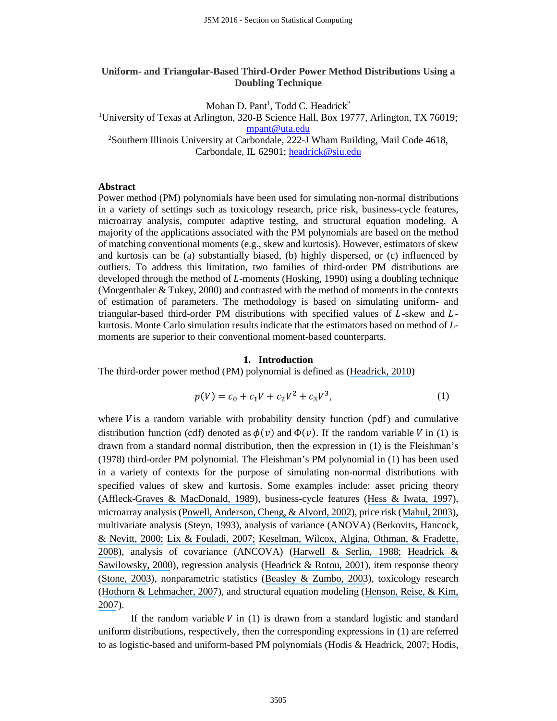# **Uniform- and Triangular-Based Third-Order Power Method Distributions Using a Doubling Technique**

Mohan D. Pant<sup>1</sup>, Todd C. Headrick<sup>2</sup>

<sup>1</sup>University of Texas at Arlington, 320-B Science Hall, Box 19777, Arlington, TX 76019; [mpant@uta.edu](mailto:mpant@uta.edu) <sup>2</sup>Southern Illinois University at Carbondale, 222-J Wham Building, Mail Code 4618,

Carbondale, IL 62901; [headrick@siu.edu](mailto:headrick@siu.edu)

# **Abstract**

Power method (PM) polynomials have been used for simulating non-normal distributions in a variety of settings such as toxicology research, price risk, business-cycle features, microarray analysis, computer adaptive testing, and structural equation modeling. A majority of the applications associated with the PM polynomials are based on the method of matching conventional moments (e.g., skew and kurtosis). However, estimators of skew and kurtosis can be (a) substantially biased, (b) highly dispersed, or (c) influenced by outliers. To address this limitation, two families of third-order PM distributions are developed through the method of  $L$ -moments (Hosking, 1990) using a doubling technique (Morgenthaler & Tukey, 2000) and contrasted with the method of moments in the contexts of estimation of parameters. The methodology is based on simulating uniform- and triangular-based third-order PM distributions with specified values of  $L$ -skew and  $L$ kurtosis. Monte Carlo simulation results indicate that the estimators based on method of *L*moments are superior to their conventional moment-based counterparts.

# **1. Introduction**

The third-order power method (PM) polynomial is defined as ([Headrick, 2010](https://www.researchgate.net/publication/224983250_Statistical_Simulation_Power_Method_Polynomials_and_Other_Transformations?el=1_x_8&enrichId=rgreq-00d976458d24f28527bbb3bc3bf5431b-XXX&enrichSource=Y292ZXJQYWdlOzMxMTMyNjQ5NztBUzo0MzQ5NDExNTk4NDE3OTNAMTQ4MDcwOTQ2MTY5Nw==))

$$
p(V) = c_0 + c_1 V + c_2 V^2 + c_3 V^3,
$$
 (1)

where  $V$  is a random variable with probability density function (pdf) and cumulative distribution function (cdf) denoted as  $\phi(v)$  and  $\Phi(v)$ . If the random variable V in (1) is drawn from a standard normal distribution, then the expression in (1) is the Fleishman's (1978) third-order PM polynomial. The Fleishman's PM polynomial in (1) has been used in a variety of contexts for the purpose of simulating non-normal distributions with specified values of skew and kurtosis. Some examples include: asset pricing theory (Affleck-[Graves & MacDonald, 1989](https://www.researchgate.net/publication/4992215_Nonnormalities_and_Tests_of_Asset_Pricing_Theories?el=1_x_8&enrichId=rgreq-00d976458d24f28527bbb3bc3bf5431b-XXX&enrichSource=Y292ZXJQYWdlOzMxMTMyNjQ5NztBUzo0MzQ5NDExNTk4NDE3OTNAMTQ4MDcwOTQ2MTY5Nw==)), business-cycle features (Hess & [Iwata, 1997](https://www.researchgate.net/publication/4719658_Measuring_and_Comparing_Business-Cycle_Features?el=1_x_8&enrichId=rgreq-00d976458d24f28527bbb3bc3bf5431b-XXX&enrichSource=Y292ZXJQYWdlOzMxMTMyNjQ5NztBUzo0MzQ5NDExNTk4NDE3OTNAMTQ4MDcwOTQ2MTY5Nw==)), microarray analysis ([Powell, Anderson, Cheng, & Alvord, 2002](https://www.researchgate.net/publication/11045340_Robustness_of_the_Chen-Dougherty-Bittner_procedure_against_non-normality_and_heterogeneity_in_the_coefficient_of_variation?el=1_x_8&enrichId=rgreq-00d976458d24f28527bbb3bc3bf5431b-XXX&enrichSource=Y292ZXJQYWdlOzMxMTMyNjQ5NztBUzo0MzQ5NDExNTk4NDE3OTNAMTQ4MDcwOTQ2MTY5Nw==)), price risk ([Mahul, 2003](https://www.researchgate.net/publication/5212184_Hedging_price_risk_in_the_presence_of_crop_yield_and_revenue_insurance?el=1_x_8&enrichId=rgreq-00d976458d24f28527bbb3bc3bf5431b-XXX&enrichSource=Y292ZXJQYWdlOzMxMTMyNjQ5NztBUzo0MzQ5NDExNTk4NDE3OTNAMTQ4MDcwOTQ2MTY5Nw==)), multivariate analysis ([Steyn, 1993](https://www.researchgate.net/publication/23630762_On_the_Problem_of_More_Than_One_Kurtosis_Parameter_in_Multivariate_Analysis?el=1_x_8&enrichId=rgreq-00d976458d24f28527bbb3bc3bf5431b-XXX&enrichSource=Y292ZXJQYWdlOzMxMTMyNjQ5NztBUzo0MzQ5NDExNTk4NDE3OTNAMTQ4MDcwOTQ2MTY5Nw==)), analysis of variance (ANOVA) ([Berkovits, Hancock,](https://www.researchgate.net/publication/241752222_Bootstrap_Resampling_Approaches_for_Repeated_Measure_Designs_Relative_Robustness_to_Sphericity_and_Normality_Violations?el=1_x_8&enrichId=rgreq-00d976458d24f28527bbb3bc3bf5431b-XXX&enrichSource=Y292ZXJQYWdlOzMxMTMyNjQ5NztBUzo0MzQ5NDExNTk4NDE3OTNAMTQ4MDcwOTQ2MTY5Nw==)  [& Nevitt, 2000;](https://www.researchgate.net/publication/241752222_Bootstrap_Resampling_Approaches_for_Repeated_Measure_Designs_Relative_Robustness_to_Sphericity_and_Normality_Violations?el=1_x_8&enrichId=rgreq-00d976458d24f28527bbb3bc3bf5431b-XXX&enrichSource=Y292ZXJQYWdlOzMxMTMyNjQ5NztBUzo0MzQ5NDExNTk4NDE3OTNAMTQ4MDcwOTQ2MTY5Nw==) [Lix & Fouladi, 2007;](https://www.researchgate.net/publication/5875587_Robust_step-down_tests_for_multivariate_independent_group_designs?el=1_x_8&enrichId=rgreq-00d976458d24f28527bbb3bc3bf5431b-XXX&enrichSource=Y292ZXJQYWdlOzMxMTMyNjQ5NztBUzo0MzQ5NDExNTk4NDE3OTNAMTQ4MDcwOTQ2MTY5Nw==) [Keselman, Wilcox, Algina, Othman, & Fradette,](https://www.researchgate.net/publication/5418389_A_comparative_study_of_robust_tests_for_spread_Asymmetric_trimming_strategies?el=1_x_8&enrichId=rgreq-00d976458d24f28527bbb3bc3bf5431b-XXX&enrichSource=Y292ZXJQYWdlOzMxMTMyNjQ5NztBUzo0MzQ5NDExNTk4NDE3OTNAMTQ4MDcwOTQ2MTY5Nw==)  [2008](https://www.researchgate.net/publication/5418389_A_comparative_study_of_robust_tests_for_spread_Asymmetric_trimming_strategies?el=1_x_8&enrichId=rgreq-00d976458d24f28527bbb3bc3bf5431b-XXX&enrichSource=Y292ZXJQYWdlOzMxMTMyNjQ5NztBUzo0MzQ5NDExNTk4NDE3OTNAMTQ4MDcwOTQ2MTY5Nw==)), analysis of covariance (ANCOVA) ([Harwell & Serlin, 1988;](https://www.researchgate.net/publication/232497923_An_Empirical_Study_of_a_Proposed_Test_of_Nonparametric_Analysis_of_Covariance?el=1_x_8&enrichId=rgreq-00d976458d24f28527bbb3bc3bf5431b-XXX&enrichSource=Y292ZXJQYWdlOzMxMTMyNjQ5NztBUzo0MzQ5NDExNTk4NDE3OTNAMTQ4MDcwOTQ2MTY5Nw==) [Headrick &](https://www.researchgate.net/publication/224862758_Properties_of_the_rank_transformation_in_factorial_analysis_of_covariance?el=1_x_8&enrichId=rgreq-00d976458d24f28527bbb3bc3bf5431b-XXX&enrichSource=Y292ZXJQYWdlOzMxMTMyNjQ5NztBUzo0MzQ5NDExNTk4NDE3OTNAMTQ4MDcwOTQ2MTY5Nw==)  [Sawilowsky, 2000](https://www.researchgate.net/publication/224862758_Properties_of_the_rank_transformation_in_factorial_analysis_of_covariance?el=1_x_8&enrichId=rgreq-00d976458d24f28527bbb3bc3bf5431b-XXX&enrichSource=Y292ZXJQYWdlOzMxMTMyNjQ5NztBUzo0MzQ5NDExNTk4NDE3OTNAMTQ4MDcwOTQ2MTY5Nw==)), regression analysis ([Headrick & Rotou, 2001](https://www.researchgate.net/publication/4896005_An_investigation_of_the_rank_transformation_in_multiple_regression?el=1_x_8&enrichId=rgreq-00d976458d24f28527bbb3bc3bf5431b-XXX&enrichSource=Y292ZXJQYWdlOzMxMTMyNjQ5NztBUzo0MzQ5NDExNTk4NDE3OTNAMTQ4MDcwOTQ2MTY5Nw==)), item response theory ([Stone, 2003](https://www.researchgate.net/publication/240278751_Empirical_Power_and_Type_I_Error_Rates_for_an_IRT_Fit_Statistic_that_Considers_the_Precision_of_Ability_Estimates?el=1_x_8&enrichId=rgreq-00d976458d24f28527bbb3bc3bf5431b-XXX&enrichSource=Y292ZXJQYWdlOzMxMTMyNjQ5NztBUzo0MzQ5NDExNTk4NDE3OTNAMTQ4MDcwOTQ2MTY5Nw==)), nonparametric statistics ([Beasley & Zumbo, 2003](https://www.researchgate.net/publication/4897666_Comparison_of_aligned_Friedman_rank_and_parametric_methods_for_testing_interactions_in_split-plot_designs?el=1_x_8&enrichId=rgreq-00d976458d24f28527bbb3bc3bf5431b-XXX&enrichSource=Y292ZXJQYWdlOzMxMTMyNjQ5NztBUzo0MzQ5NDExNTk4NDE3OTNAMTQ4MDcwOTQ2MTY5Nw==)), toxicology research ([Hothorn & Lehmacher, 2007](https://www.researchgate.net/publication/242939459_A_Simple_Testing_Procedure_Control_versusk_Treatments_for_One-sided_Ordered_Alternatives_with_Application_in_Toxicology?el=1_x_8&enrichId=rgreq-00d976458d24f28527bbb3bc3bf5431b-XXX&enrichSource=Y292ZXJQYWdlOzMxMTMyNjQ5NztBUzo0MzQ5NDExNTk4NDE3OTNAMTQ4MDcwOTQ2MTY5Nw==)), and structural equation modeling ([Henson, Reise, & Kim,](https://www.researchgate.net/publication/280798785_Detecting_mixtures_from_structural_model_differences_using_latent_variable_mixture_modeling_A_comparison_of_relative_model_fit_statistics?el=1_x_8&enrichId=rgreq-00d976458d24f28527bbb3bc3bf5431b-XXX&enrichSource=Y292ZXJQYWdlOzMxMTMyNjQ5NztBUzo0MzQ5NDExNTk4NDE3OTNAMTQ4MDcwOTQ2MTY5Nw==)  [2007](https://www.researchgate.net/publication/280798785_Detecting_mixtures_from_structural_model_differences_using_latent_variable_mixture_modeling_A_comparison_of_relative_model_fit_statistics?el=1_x_8&enrichId=rgreq-00d976458d24f28527bbb3bc3bf5431b-XXX&enrichSource=Y292ZXJQYWdlOzMxMTMyNjQ5NztBUzo0MzQ5NDExNTk4NDE3OTNAMTQ4MDcwOTQ2MTY5Nw==)).

If the random variable  $V$  in (1) is drawn from a standard logistic and standard uniform distributions, respectively, then the corresponding expressions in (1) are referred to as logistic-based and uniform-based PM polynomials (Hodis & Headrick, 2007; Hodis,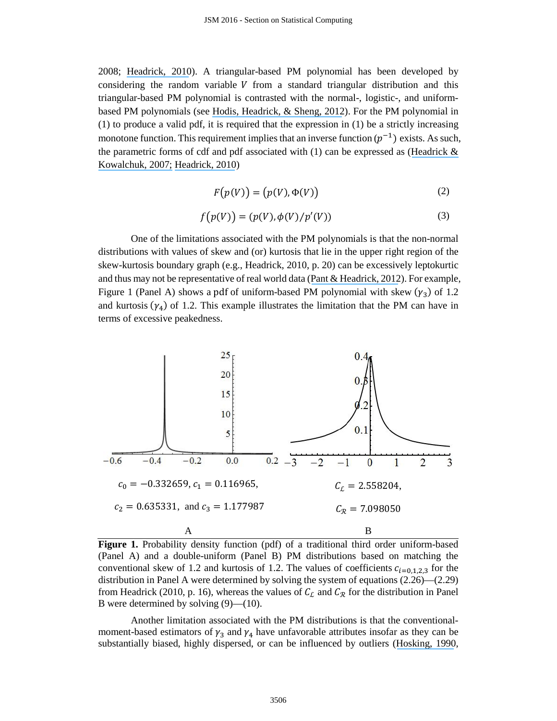2008; [Headrick, 2010](https://www.researchgate.net/publication/224983250_Statistical_Simulation_Power_Method_Polynomials_and_Other_Transformations?el=1_x_8&enrichId=rgreq-00d976458d24f28527bbb3bc3bf5431b-XXX&enrichSource=Y292ZXJQYWdlOzMxMTMyNjQ5NztBUzo0MzQ5NDExNTk4NDE3OTNAMTQ4MDcwOTQ2MTY5Nw==)). A triangular-based PM polynomial has been developed by considering the random variable  $V$  from a standard triangular distribution and this triangular-based PM polynomial is contrasted with the normal-, logistic-, and uniformbased PM polynomials (see [Hodis, Headrick, & Sheng, 2012](https://www.researchgate.net/publication/224983259_Power_method_distributions_through_conventional_moments_and_L-moments?el=1_x_8&enrichId=rgreq-00d976458d24f28527bbb3bc3bf5431b-XXX&enrichSource=Y292ZXJQYWdlOzMxMTMyNjQ5NztBUzo0MzQ5NDExNTk4NDE3OTNAMTQ4MDcwOTQ2MTY5Nw==)). For the PM polynomial in (1) to produce a valid pdf, it is required that the expression in (1) be a strictly increasing monotone function. This requirement implies that an inverse function  $(p^{-1})$  exists. As such, the parametric forms of cdf and pdf associated with  $(1)$  can be expressed as (Headrick  $\&$ [Kowalchuk, 2007;](https://www.researchgate.net/publication/224983243_The_power_method_transformation_It) [Headrick, 2010](https://www.researchgate.net/publication/224983250_Statistical_Simulation_Power_Method_Polynomials_and_Other_Transformations?el=1_x_8&enrichId=rgreq-00d976458d24f28527bbb3bc3bf5431b-XXX&enrichSource=Y292ZXJQYWdlOzMxMTMyNjQ5NztBUzo0MzQ5NDExNTk4NDE3OTNAMTQ4MDcwOTQ2MTY5Nw==))

$$
F(p(V)) = (p(V), \Phi(V))
$$
\n(2)

$$
f(p(V)) = (p(V), \phi(V)/p'(V))
$$
 (3)

One of the limitations associated with the PM polynomials is that the non-normal distributions with values of skew and (or) kurtosis that lie in the upper right region of the skew-kurtosis boundary graph (e.g., Headrick, 2010, p. 20) can be excessively leptokurtic and thus may not be representative of real world data ([Pant & Headrick, 2012](https://www.researchgate.net/publication/233764475_A_Doubling_Technique_for_the_Power_Method_Transformations?el=1_x_8&enrichId=rgreq-00d976458d24f28527bbb3bc3bf5431b-XXX&enrichSource=Y292ZXJQYWdlOzMxMTMyNjQ5NztBUzo0MzQ5NDExNTk4NDE3OTNAMTQ4MDcwOTQ2MTY5Nw==)). For example, Figure 1 (Panel A) shows a pdf of uniform-based PM polynomial with skew  $(\gamma_3)$  of 1.2 and kurtosis  $(\gamma_4)$  of 1.2. This example illustrates the limitation that the PM can have in terms of excessive peakedness.



Figure 1. Probability density function (pdf) of a traditional third order uniform-based (Panel A) and a double-uniform (Panel B) PM distributions based on matching the conventional skew of 1.2 and kurtosis of 1.2. The values of coefficients  $c_{i=0,1,2,3}$  for the distribution in Panel A were determined by solving the system of equations (2.26)—(2.29) from Headrick (2010, p. 16), whereas the values of  $C_{\mathcal{L}}$  and  $C_{\mathcal{R}}$  for the distribution in Panel B were determined by solving (9)—(10).

Another limitation associated with the PM distributions is that the conventionalmoment-based estimators of  $\gamma_3$  and  $\gamma_4$  have unfavorable attributes insofar as they can be substantially biased, highly dispersed, or can be influenced by outliers ([Hosking, 1990](https://www.researchgate.net/publication/239061225_L-Moment_-_Analysis_and_Estimation_of_Distributions_Using_Linear-Combinations_of_Order-Statistics?el=1_x_8&enrichId=rgreq-00d976458d24f28527bbb3bc3bf5431b-XXX&enrichSource=Y292ZXJQYWdlOzMxMTMyNjQ5NztBUzo0MzQ5NDExNTk4NDE3OTNAMTQ4MDcwOTQ2MTY5Nw==),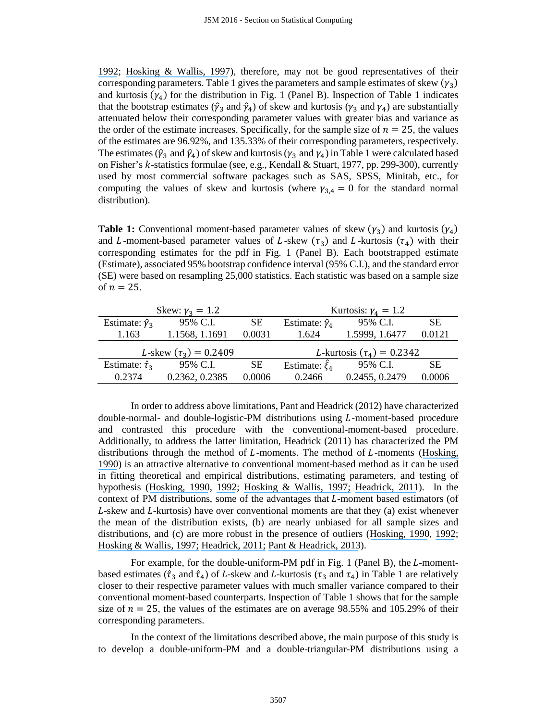[1992](https://www.researchgate.net/publication/246865259_Moments_or_L_Moments_An_Example_Comparing_Two_Measures_of_Distributional_Shape?el=1_x_8&enrichId=rgreq-00d976458d24f28527bbb3bc3bf5431b-XXX&enrichSource=Y292ZXJQYWdlOzMxMTMyNjQ5NztBUzo0MzQ5NDExNTk4NDE3OTNAMTQ4MDcwOTQ2MTY5Nw==); [Hosking & Wallis, 1997](https://www.researchgate.net/publication/269864369_Regional_Frequency_Analysis_An_Approach_Based_on_L-Moments?el=1_x_8&enrichId=rgreq-00d976458d24f28527bbb3bc3bf5431b-XXX&enrichSource=Y292ZXJQYWdlOzMxMTMyNjQ5NztBUzo0MzQ5NDExNTk4NDE3OTNAMTQ4MDcwOTQ2MTY5Nw==)), therefore, may not be good representatives of their corresponding parameters. Table 1 gives the parameters and sample estimates of skew  $(\gamma_3)$ and kurtosis  $(\gamma_4)$  for the distribution in Fig. 1 (Panel B). Inspection of Table 1 indicates that the bootstrap estimates ( $\hat{\gamma}_3$  and  $\hat{\gamma}_4$ ) of skew and kurtosis ( $\gamma_3$  and  $\gamma_4$ ) are substantially attenuated below their corresponding parameter values with greater bias and variance as the order of the estimate increases. Specifically, for the sample size of  $n = 25$ , the values of the estimates are 96.92%, and 135.33% of their corresponding parameters, respectively. The estimates ( $\hat{\gamma}_3$  and  $\hat{\gamma}_4$ ) of skew and kurtosis ( $\gamma_3$  and  $\gamma_4$ ) in Table 1 were calculated based on Fisher's  $k$ -statistics formulae (see, e.g., Kendall & Stuart, 1977, pp. 299-300), currently used by most commercial software packages such as SAS, SPSS, Minitab, etc., for computing the values of skew and kurtosis (where  $\gamma_{3,4} = 0$  for the standard normal distribution).

**Table 1:** Conventional moment-based parameter values of skew  $(\gamma_3)$  and kurtosis  $(\gamma_4)$ and *L*-moment-based parameter values of *L*-skew  $(\tau_3)$  and *L*-kurtosis  $(\tau_4)$  with their corresponding estimates for the pdf in Fig. 1 (Panel B). Each bootstrapped estimate (Estimate), associated 95% bootstrap confidence interval (95% C.I.), and the standard error (SE) were based on resampling 25,000 statistics. Each statistic was based on a sample size of  $n = 25$ .

|                            | Skew: $\gamma_3 = 1.2$     |           | Kurtosis: $\gamma_4 = 1.2$             |                |           |  |
|----------------------------|----------------------------|-----------|----------------------------------------|----------------|-----------|--|
| Estimate: $\hat{\gamma}_3$ | 95% C.I.                   | <b>SE</b> | Estimate: $\hat{\gamma}_4$             | 95% C.I.       | <b>SE</b> |  |
| 1.163                      | 1.1568, 1.1691             | 0.0031    | 1.624                                  | 1.5999, 1.6477 | 0.0121    |  |
|                            | L-skew $(\tau_3) = 0.2409$ |           | <i>L</i> -kurtosis $(\tau_4) = 0.2342$ |                |           |  |
| Estimate: $\hat{\tau}_3$   | 95% C.I.                   | <b>SE</b> | Estimate: $\hat{\xi}_4$                | 95% C.I.       | SE.       |  |
| 0.2374                     | 0.2362, 0.2385             | 0.0006    | 0.2466                                 | 0.2455, 0.2479 | 0.0006    |  |

In order to address above limitations, Pant and Headrick (2012) have characterized  $double-normal-$  and  $double-logistic-PM$  distributions using  $L$ -moment-based procedure and contrasted this procedure with the conventional-moment-based procedure. Additionally, to address the latter limitation, Headrick (2011) has characterized the PM distributions through the method of  $L$ -moments. The method of  $L$ -moments (Hosking, [1990](https://www.researchgate.net/publication/239061225_L-Moment_-_Analysis_and_Estimation_of_Distributions_Using_Linear-Combinations_of_Order-Statistics?el=1_x_8&enrichId=rgreq-00d976458d24f28527bbb3bc3bf5431b-XXX&enrichSource=Y292ZXJQYWdlOzMxMTMyNjQ5NztBUzo0MzQ5NDExNTk4NDE3OTNAMTQ4MDcwOTQ2MTY5Nw==)) is an attractive alternative to conventional moment-based method as it can be used in fitting theoretical and empirical distributions, estimating parameters, and testing of hypothesis ([Hosking, 1990](https://www.researchgate.net/publication/239061225_L-Moment_-_Analysis_and_Estimation_of_Distributions_Using_Linear-Combinations_of_Order-Statistics?el=1_x_8&enrichId=rgreq-00d976458d24f28527bbb3bc3bf5431b-XXX&enrichSource=Y292ZXJQYWdlOzMxMTMyNjQ5NztBUzo0MzQ5NDExNTk4NDE3OTNAMTQ4MDcwOTQ2MTY5Nw==), [1992](https://www.researchgate.net/publication/246865259_Moments_or_L_Moments_An_Example_Comparing_Two_Measures_of_Distributional_Shape?el=1_x_8&enrichId=rgreq-00d976458d24f28527bbb3bc3bf5431b-XXX&enrichSource=Y292ZXJQYWdlOzMxMTMyNjQ5NztBUzo0MzQ5NDExNTk4NDE3OTNAMTQ4MDcwOTQ2MTY5Nw==); [Hosking & Wallis, 1997;](https://www.researchgate.net/publication/269864369_Regional_Frequency_Analysis_An_Approach_Based_on_L-Moments?el=1_x_8&enrichId=rgreq-00d976458d24f28527bbb3bc3bf5431b-XXX&enrichSource=Y292ZXJQYWdlOzMxMTMyNjQ5NztBUzo0MzQ5NDExNTk4NDE3OTNAMTQ4MDcwOTQ2MTY5Nw==) [Headrick, 2011](https://www.researchgate.net/publication/224983251_A_Characterization_of_Power_Method_Transformations_through_L-Moments?el=1_x_8&enrichId=rgreq-00d976458d24f28527bbb3bc3bf5431b-XXX&enrichSource=Y292ZXJQYWdlOzMxMTMyNjQ5NztBUzo0MzQ5NDExNTk4NDE3OTNAMTQ4MDcwOTQ2MTY5Nw==)). In the context of PM distributions, some of the advantages that  $L$ -moment based estimators (of  $L$ -skew and  $L$ -kurtosis) have over conventional moments are that they (a) exist whenever the mean of the distribution exists, (b) are nearly unbiased for all sample sizes and distributions, and (c) are more robust in the presence of outliers ([Hosking, 1990](https://www.researchgate.net/publication/239061225_L-Moment_-_Analysis_and_Estimation_of_Distributions_Using_Linear-Combinations_of_Order-Statistics?el=1_x_8&enrichId=rgreq-00d976458d24f28527bbb3bc3bf5431b-XXX&enrichSource=Y292ZXJQYWdlOzMxMTMyNjQ5NztBUzo0MzQ5NDExNTk4NDE3OTNAMTQ4MDcwOTQ2MTY5Nw==), [1992](https://www.researchgate.net/publication/246865259_Moments_or_L_Moments_An_Example_Comparing_Two_Measures_of_Distributional_Shape?el=1_x_8&enrichId=rgreq-00d976458d24f28527bbb3bc3bf5431b-XXX&enrichSource=Y292ZXJQYWdlOzMxMTMyNjQ5NztBUzo0MzQ5NDExNTk4NDE3OTNAMTQ4MDcwOTQ2MTY5Nw==); [Hosking & Wallis, 1997;](https://www.researchgate.net/publication/269864369_Regional_Frequency_Analysis_An_Approach_Based_on_L-Moments?el=1_x_8&enrichId=rgreq-00d976458d24f28527bbb3bc3bf5431b-XXX&enrichSource=Y292ZXJQYWdlOzMxMTMyNjQ5NztBUzo0MzQ5NDExNTk4NDE3OTNAMTQ4MDcwOTQ2MTY5Nw==) [Headrick, 2011;](https://www.researchgate.net/publication/224983251_A_Characterization_of_Power_Method_Transformations_through_L-Moments?el=1_x_8&enrichId=rgreq-00d976458d24f28527bbb3bc3bf5431b-XXX&enrichSource=Y292ZXJQYWdlOzMxMTMyNjQ5NztBUzo0MzQ5NDExNTk4NDE3OTNAMTQ4MDcwOTQ2MTY5Nw==) [Pant & Headrick, 2013](https://www.researchgate.net/publication/236900628_A_Method_for_Simulating_Burr_Type_III_and_Type_XII_Distributions_through_L-Moments_and_L-Correlations?el=1_x_8&enrichId=rgreq-00d976458d24f28527bbb3bc3bf5431b-XXX&enrichSource=Y292ZXJQYWdlOzMxMTMyNjQ5NztBUzo0MzQ5NDExNTk4NDE3OTNAMTQ4MDcwOTQ2MTY5Nw==)).

For example, for the double-uniform-PM pdf in Fig. 1 (Panel B), the *L*-momentbased estimates ( $\hat{\tau}_3$  and  $\hat{\tau}_4$ ) of L-skew and L-kurtosis ( $\tau_3$  and  $\tau_4$ ) in Table 1 are relatively closer to their respective parameter values with much smaller variance compared to their conventional moment-based counterparts. Inspection of Table 1 shows that for the sample size of  $n = 25$ , the values of the estimates are on average 98.55% and 105.29% of their corresponding parameters.

In the context of the limitations described above, the main purpose of this study is to develop a double-uniform-PM and a double-triangular-PM distributions using a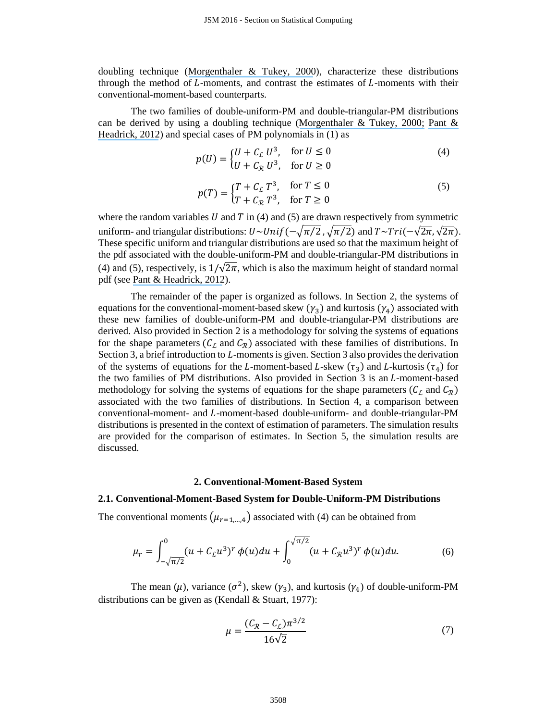doubling technique (Morgenthaler  $&$  Tukey, 2000), characterize these distributions through the method of  $L$ -moments, and contrast the estimates of  $L$ -moments with their conventional-moment-based counterparts.

The two families of double-uniform-PM and double-triangular-PM distributions can be derived by using a doubling technique ([Morgenthaler & Tukey, 2000;](https://www.researchgate.net/publication/283453788_Fitting_quantiles_doubling_HR_HQ_and_HHH_distributions?el=1_x_8&enrichId=rgreq-00d976458d24f28527bbb3bc3bf5431b-XXX&enrichSource=Y292ZXJQYWdlOzMxMTMyNjQ5NztBUzo0MzQ5NDExNTk4NDE3OTNAMTQ4MDcwOTQ2MTY5Nw==) Pant  $\&$ [Headrick, 2012](https://www.researchgate.net/publication/233764475_A_Doubling_Technique_for_the_Power_Method_Transformations?el=1_x_8&enrichId=rgreq-00d976458d24f28527bbb3bc3bf5431b-XXX&enrichSource=Y292ZXJQYWdlOzMxMTMyNjQ5NztBUzo0MzQ5NDExNTk4NDE3OTNAMTQ4MDcwOTQ2MTY5Nw==)) and special cases of PM polynomials in (1) as

$$
p(U) = \begin{cases} U + C_L U^3, & \text{for } U \le 0 \\ U + C_R U^3, & \text{for } U \ge 0 \end{cases}
$$
 (4)

$$
p(T) = \begin{cases} T + C_L T^3, & \text{for } T \le 0 \\ T + C_R T^3, & \text{for } T \ge 0 \end{cases}
$$
 (5)

where the random variables  $U$  and  $T$  in (4) and (5) are drawn respectively from symmetric uniform- and triangular distributions:  $U \sim Unif(-\sqrt{\pi/2}, \sqrt{\pi/2})$  and  $T \sim Tri(-\sqrt{2\pi}, \sqrt{2\pi})$ . These specific uniform and triangular distributions are used so that the maximum height of the pdf associated with the double-uniform-PM and double-triangular-PM distributions in (4) and (5), respectively, is  $1/\sqrt{2\pi}$ , which is also the maximum height of standard normal pdf (see [Pant & Headrick, 2012](https://www.researchgate.net/publication/233764475_A_Doubling_Technique_for_the_Power_Method_Transformations?el=1_x_8&enrichId=rgreq-00d976458d24f28527bbb3bc3bf5431b-XXX&enrichSource=Y292ZXJQYWdlOzMxMTMyNjQ5NztBUzo0MzQ5NDExNTk4NDE3OTNAMTQ4MDcwOTQ2MTY5Nw==)).

The remainder of the paper is organized as follows. In Section 2, the systems of equations for the conventional-moment-based skew  $(\gamma_3)$  and kurtosis  $(\gamma_4)$  associated with these new families of double-uniform-PM and double-triangular-PM distributions are derived. Also provided in Section 2 is a methodology for solving the systems of equations for the shape parameters ( $C_L$  and  $C_R$ ) associated with these families of distributions. In Section 3, a brief introduction to  $L$ -moments is given. Section 3 also provides the derivation of the systems of equations for the L-moment-based L-skew ( $\tau_3$ ) and L-kurtosis ( $\tau_4$ ) for the two families of PM distributions. Also provided in Section  $3$  is an  $L$ -moment-based methodology for solving the systems of equations for the shape parameters ( $C_L$  and  $C_R$ ) associated with the two families of distributions. In Section 4, a comparison between conventional-moment- and L-moment-based double-uniform- and double-triangular-PM distributions is presented in the context of estimation of parameters. The simulation results are provided for the comparison of estimates. In Section 5, the simulation results are discussed.

#### **2. Conventional-Moment-Based System**

## **2.1. Conventional-Moment-Based System for Double-Uniform-PM Distributions**

The conventional moments  $(\mu_{r=1,\dots,4})$  associated with (4) can be obtained from

$$
\mu_r = \int_{-\sqrt{\pi/2}}^0 (u + C_L u^3)^r \phi(u) du + \int_0^{\sqrt{\pi/2}} (u + C_R u^3)^r \phi(u) du.
$$
 (6)

The mean ( $\mu$ ), variance ( $\sigma^2$ ), skew ( $\gamma_3$ ), and kurtosis ( $\gamma_4$ ) of double-uniform-PM distributions can be given as (Kendall & Stuart, 1977):

$$
\mu = \frac{(C_{\mathcal{R}} - C_{\mathcal{L}})\pi^{3/2}}{16\sqrt{2}}
$$
\n(7)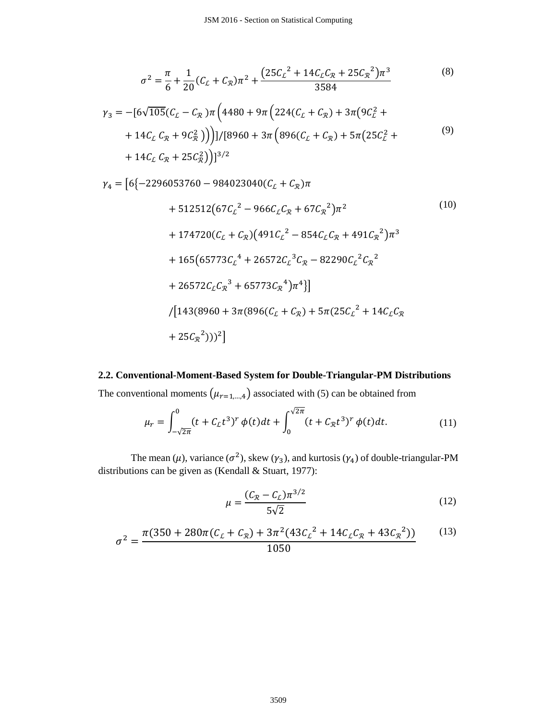$$
\sigma^2 = \frac{\pi}{6} + \frac{1}{20} (C_{\mathcal{L}} + C_{\mathcal{R}}) \pi^2 + \frac{(25C_{\mathcal{L}}^2 + 14C_{\mathcal{L}}C_{\mathcal{R}} + 25C_{\mathcal{R}}^2) \pi^3}{3584}
$$
(8)

$$
\gamma_3 = -[6\sqrt{105}(C_{\mathcal{L}} - C_{\mathcal{R}})\pi \left(4480 + 9\pi \left(224(C_{\mathcal{L}} + C_{\mathcal{R}}) + 3\pi (9C_{\mathcal{L}}^2 ++ 14C_{\mathcal{L}} C_{\mathcal{R}} + 9C_{\mathcal{R}}^2)\right)\right)]/[8960 + 3\pi \left(896(C_{\mathcal{L}} + C_{\mathcal{R}}) + 5\pi (25C_{\mathcal{L}}^2 ++ 14C_{\mathcal{L}} C_{\mathcal{R}} + 25C_{\mathcal{R}}^2)\right)]^{3/2}
$$
\n(9)

 $\gamma_4 = [6\{-2296053760 - 984023040(C_L + C_R)\pi$ 

+ 512512(67
$$
C_L^2
$$
 - 966 $C_L C_R$  + 67 $C_R^2$ ) $\pi^2$  (10)  
+ 174720( $C_L$  +  $C_R$ )(491 $C_L^2$  - 854 $C_L C_R$  + 491 $C_R^2$ ) $\pi^3$   
+ 165(65773 $C_L^4$  + 26572 $C_L^3 C_R$  - 82290 $C_L^2 C_R^2$   
+ 26572 $C_L C_R^3$  + 65773 $C_R^4$ ) $\pi^4$ ]  
/[143(8960 + 3 $\pi$ (896( $C_L$  +  $C_R$ ) + 5 $\pi$ (25 $C_L^2$  + 14 $C_L C_R$   
+ 25 $C_R^2$ )))<sup>2</sup>]

# **2.2. Conventional-Moment-Based System for Double-Triangular-PM Distributions**

The conventional moments  $(\mu_{r=1,\dots,4})$  associated with (5) can be obtained from

$$
\mu_r = \int_{-\sqrt{2\pi}}^0 (t + C_{\mathcal{L}} t^3)^r \, \phi(t) dt + \int_0^{\sqrt{2\pi}} (t + C_{\mathcal{R}} t^3)^r \, \phi(t) dt. \tag{11}
$$

The mean ( $\mu$ ), variance ( $\sigma^2$ ), skew ( $\gamma_3$ ), and kurtosis ( $\gamma_4$ ) of double-triangular-PM distributions can be given as (Kendall & Stuart, 1977):

$$
\mu = \frac{(C_{\mathcal{R}} - C_{\mathcal{L}})\pi^{3/2}}{5\sqrt{2}}
$$
\n(12)

$$
\sigma^2 = \frac{\pi (350 + 280\pi (C_L + C_{\mathcal{R}}) + 3\pi^2 (43C_L^2 + 14C_L C_{\mathcal{R}} + 43C_{\mathcal{R}}^2))}{1050} \tag{13}
$$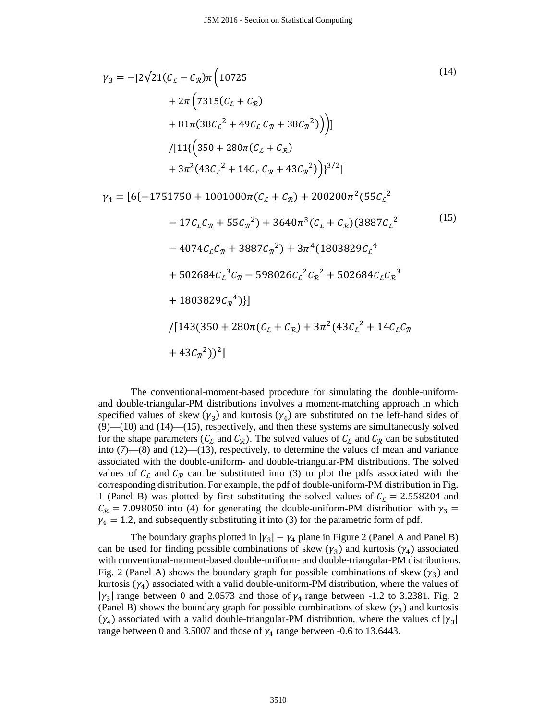$$
\gamma_3 = -[2\sqrt{21}(C_L - C_{\mathcal{R}})\pi (10725
$$
  
+ 2\pi (7315(C\_L + C\_{\mathcal{R}})  
+ 81\pi (38C\_L<sup>2</sup> + 49C\_L C\_{\mathcal{R}} + 38C\_{\mathcal{R}}<sup>2</sup>)))]  
/[11{(350 + 280\pi(C\_L + C\_{\mathcal{R}})  
+ 3\pi<sup>2</sup>(43C\_L<sup>2</sup> + 14C\_L C\_{\mathcal{R}} + 43C\_{\mathcal{R}}<sup>2</sup>)})<sup>3/2</sup>]

 $\gamma_4 = [6\{-1751750 + 1001000\pi(C_L + C_R) + 200200\pi^2(55C_L^2)]$  $-17C_{L}C_{R} + 55C_{R}^{2}) + 3640\pi^{3}(C_{L} + C_{R})(3887C_{L}^{2})$  $-4074C_{L}C_{R} + 3887C_{R}^{2}) + 3\pi^{4}(1803829C_{L}^{4})$ 

$$
+502684C_{L}^{3}C_{R} - 598026C_{L}^{2}C_{R}^{2} + 502684C_{L}C_{R}^{3}
$$

- $+ 1803829 C_{\mathcal{R}}^4$ }}
- $/[143(350 + 280\pi(C_L + C_{R}) + 3\pi^2(43C_L^2 + 14C_LC_R)]$  $+43C_{\mathcal{R}}^2$ ))<sup>2</sup>]

(15)

The conventional-moment-based procedure for simulating the double-uniformand double-triangular-PM distributions involves a moment-matching approach in which specified values of skew  $(\gamma_3)$  and kurtosis  $(\gamma_4)$  are substituted on the left-hand sides of  $(9)$ — $(10)$  and  $(14)$ — $(15)$ , respectively, and then these systems are simultaneously solved for the shape parameters ( $C_{\mathcal{L}}$  and  $C_{\mathcal{R}}$ ). The solved values of  $C_{\mathcal{L}}$  and  $C_{\mathcal{R}}$  can be substituted into (7)—(8) and (12)—(13), respectively, to determine the values of mean and variance associated with the double-uniform- and double-triangular-PM distributions. The solved values of  $C_L$  and  $C_R$  can be substituted into (3) to plot the pdfs associated with the corresponding distribution. For example, the pdf of double-uniform-PM distribution in Fig. 1 (Panel B) was plotted by first substituting the solved values of  $C_{\mathcal{L}} = 2.558204$  and  $C_{\mathcal{R}}$  = 7.098050 into (4) for generating the double-uniform-PM distribution with  $\gamma_3$  =  $\gamma_4 = 1.2$ , and subsequently substituting it into (3) for the parametric form of pdf.

The boundary graphs plotted in  $|\gamma_3| - \gamma_4$  plane in Figure 2 (Panel A and Panel B) can be used for finding possible combinations of skew  $(\gamma_3)$  and kurtosis  $(\gamma_4)$  associated with conventional-moment-based double-uniform- and double-triangular-PM distributions. Fig. 2 (Panel A) shows the boundary graph for possible combinations of skew  $(\gamma_3)$  and kurtosis  $(\gamma_4)$  associated with a valid double-uniform-PM distribution, where the values of  $|\gamma_3|$  range between 0 and 2.0573 and those of  $\gamma_4$  range between -1.2 to 3.2381. Fig. 2 (Panel B) shows the boundary graph for possible combinations of skew  $(\gamma_3)$  and kurtosis  $(\gamma_4)$  associated with a valid double-triangular-PM distribution, where the values of  $|\gamma_3|$ range between 0 and 3.5007 and those of  $\gamma_4$  range between -0.6 to 13.6443.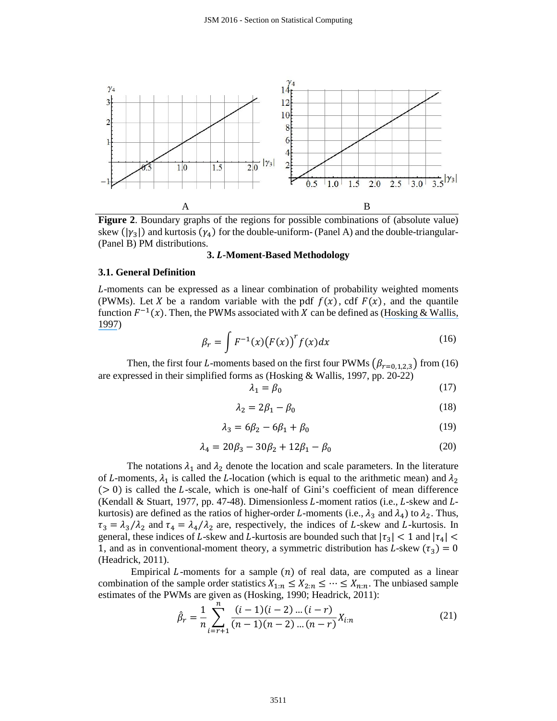

**Figure 2**. Boundary graphs of the regions for possible combinations of (absolute value) skew ( $|\gamma_3|$ ) and kurtosis ( $\gamma_4$ ) for the double-uniform- (Panel A) and the double-triangular-(Panel B) PM distributions.

#### **3. -Moment-Based Methodology**

# **3.1. General Definition**

-moments can be expressed as a linear combination of probability weighted moments (PWMs). Let X be a random variable with the pdf  $f(x)$ , cdf  $F(x)$ , and the quantile function  $F^{-1}(x)$ . Then, the PWMs associated with X can be defined as (Hosking & Wallis, [1997](https://www.researchgate.net/publication/269864369_Regional_Frequency_Analysis_An_Approach_Based_on_L-Moments?el=1_x_8&enrichId=rgreq-00d976458d24f28527bbb3bc3bf5431b-XXX&enrichSource=Y292ZXJQYWdlOzMxMTMyNjQ5NztBUzo0MzQ5NDExNTk4NDE3OTNAMTQ4MDcwOTQ2MTY5Nw==))

$$
\beta_r = \int F^{-1}(x) (F(x))^r f(x) dx \qquad (16)
$$

Then, the first four L-moments based on the first four PWMs  $(\beta_{r=0,1,2,3})$  from (16) are expressed in their simplified forms as (Hosking & Wallis, 1997, pp. 20-22)

$$
\lambda_1 = \beta_0 \tag{17}
$$

$$
\lambda_2 = 2\beta_1 - \beta_0 \tag{18}
$$

$$
\lambda_3 = 6\beta_2 - 6\beta_1 + \beta_0 \tag{19}
$$

$$
\lambda_4 = 20\beta_3 - 30\beta_2 + 12\beta_1 - \beta_0 \tag{20}
$$

The notations  $\lambda_1$  and  $\lambda_2$  denote the location and scale parameters. In the literature of L-moments,  $\lambda_1$  is called the L-location (which is equal to the arithmetic mean) and  $\lambda_2$  $(0, 0)$  is called the *L*-scale, which is one-half of Gini's coefficient of mean difference (Kendall & Stuart, 1977, pp. 47-48). Dimensionless  $L$ -moment ratios (i.e.,  $L$ -skew and  $L$ kurtosis) are defined as the ratios of higher-order L-moments (i.e.,  $\lambda_3$  and  $\lambda_4$ ) to  $\lambda_2$ . Thus,  $\tau_3 = \lambda_3/\lambda_2$  and  $\tau_4 = \lambda_4/\lambda_2$  are, respectively, the indices of L-skew and L-kurtosis. In general, these indices of L-skew and L-kurtosis are bounded such that  $|\tau_3| < 1$  and  $|\tau_4| <$ 1, and as in conventional-moment theory, a symmetric distribution has L-skew ( $\tau_3$ ) = 0 (Headrick, 2011).

Empirical  $L$ -moments for a sample  $(n)$  of real data, are computed as a linear combination of the sample order statistics  $X_{1:n} \leq X_{2:n} \leq \cdots \leq X_{n:n}$ . The unbiased sample estimates of the PWMs are given as (Hosking, 1990; Headrick, 2011):

$$
\hat{\beta}_r = \frac{1}{n} \sum_{i=r+1}^n \frac{(i-1)(i-2)\dots(i-r)}{(n-1)(n-2)\dots(n-r)} X_{i:n}
$$
\n(21)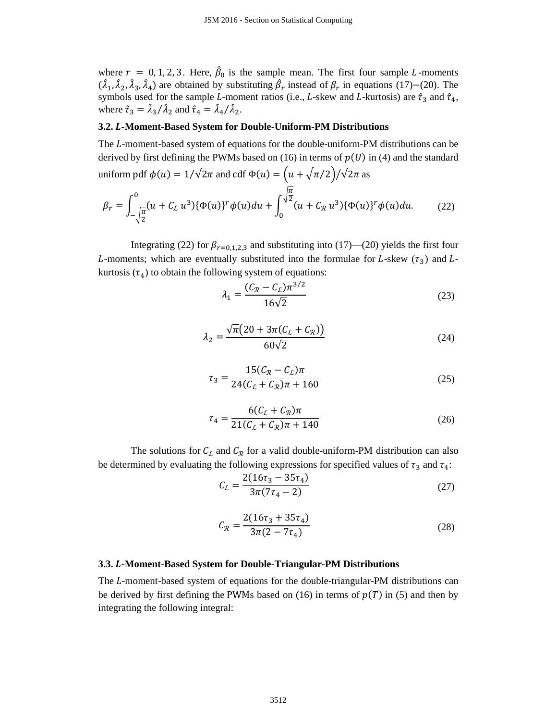where  $r = 0, 1, 2, 3$ . Here,  $\beta_0$  is the sample mean. The first four sample L-moments  $(\lambda_1, \lambda_2, \lambda_3, \lambda_4)$  are obtained by substituting  $\beta_r$  instead of  $\beta_r$  in equations (17)–(20). The symbols used for the sample L-moment ratios (i.e., L-skew and L-kurtosis) are  $\hat{\tau}_3$  and  $\hat{\tau}_4$ , where  $\hat{\tau}_3 = \lambda_3 / \lambda_2$  and  $\hat{\tau}_4 = \lambda_4 / \lambda_2$ .

# **3.2. -Moment-Based System for Double-Uniform-PM Distributions**

The L-moment-based system of equations for the double-uniform-PM distributions can be derived by first defining the PWMs based on (16) in terms of  $p(U)$  in (4) and the standard uniform pdf  $\phi(u) = 1/\sqrt{2\pi}$  and cdf  $\Phi(u) = (u + \sqrt{\pi/2})/\sqrt{2\pi}$  as

$$
\beta_r = \int_{-\sqrt{\frac{\pi}{2}}}^{0} (u + C_L u^3) \{\Phi(u)\}^r \phi(u) du + \int_{0}^{\sqrt{\frac{\pi}{2}}} (u + C_R u^3) \{\Phi(u)\}^r \phi(u) du.
$$
 (22)

Integrating (22) for  $\beta_{r=0,1,2,3}$  and substituting into (17)—(20) yields the first four L-moments; which are eventually substituted into the formulae for L-skew  $(\tau_3)$  and Lkurtosis  $(\tau_4)$  to obtain the following system of equations:

$$
\lambda_1 = \frac{(C_{\mathcal{R}} - C_{\mathcal{L}})\pi^{3/2}}{16\sqrt{2}}
$$
\n(23)

$$
\lambda_2 = \frac{\sqrt{\pi} (20 + 3\pi (C_L + C_{\mathcal{R}}))}{60\sqrt{2}}
$$
 (24)

$$
\tau_3 = \frac{15(C_R - C_L)\pi}{24(C_L + C_R)\pi + 160}
$$
\n(25)

$$
\tau_4 = \frac{6(C_L + C_R)\pi}{21(C_L + C_R)\pi + 140} \tag{26}
$$

The solutions for  $C_{\mathcal{L}}$  and  $C_{\mathcal{R}}$  for a valid double-uniform-PM distribution can also be determined by evaluating the following expressions for specified values of  $\tau_3$  and  $\tau_4$ :

$$
C_{\mathcal{L}} = \frac{2(16\tau_3 - 35\tau_4)}{3\pi(7\tau_4 - 2)}\tag{27}
$$

$$
C_{\mathcal{R}} = \frac{2(16\tau_3 + 35\tau_4)}{3\pi(2 - 7\tau_4)}\tag{28}
$$

#### **3.3. -Moment-Based System for Double-Triangular-PM Distributions**

The L-moment-based system of equations for the double-triangular-PM distributions can be derived by first defining the PWMs based on (16) in terms of  $p(T)$  in (5) and then by integrating the following integral: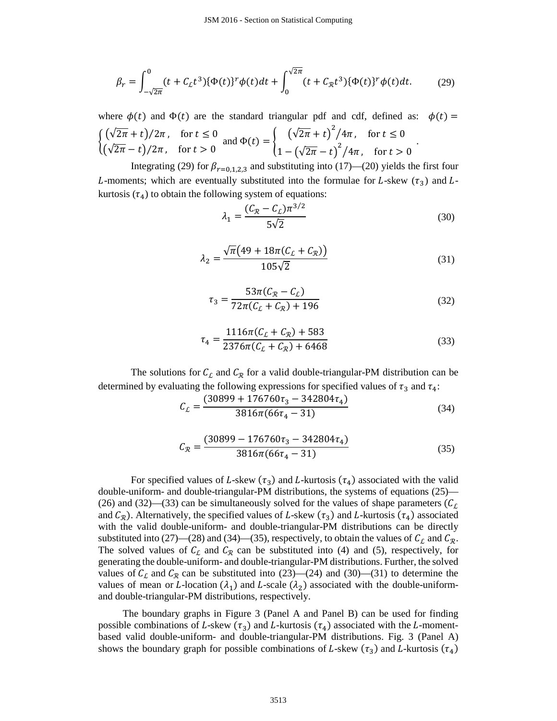$$
\beta_r = \int_{-\sqrt{2\pi}}^0 (t + C_L t^3) {\{\Phi(t)\}}^r \phi(t) dt + \int_0^{\sqrt{2\pi}} (t + C_R t^3) {\{\Phi(t)\}}^r \phi(t) dt.
$$
 (29)

where  $\phi(t)$  and  $\Phi(t)$  are the standard triangular pdf and cdf, defined as:  $\phi(t) =$  $\big\{$  $(\sqrt{2\pi} + t)/2\pi$ , for  $t \leq 0$  $(\sqrt{2\pi}-t)/2\pi$ , for  $t > 0$ and  $\Phi(t) = \begin{cases} (\sqrt{2\pi} + t)^2 / 4\pi, & \text{for } t \leq 0 \\ (\sqrt{2\pi} + t)^2 / 4\pi, & \text{for } t \leq 0 \end{cases}$  $1 - (\sqrt{2\pi} - t)^2 / 4\pi$ , for  $t > 0$ .

Integrating (29) for  $\beta_{r=0,1,2,3}$  and substituting into (17)—(20) yields the first four L-moments; which are eventually substituted into the formulae for L-skew  $(\tau_3)$  and Lkurtosis  $(\tau_4)$  to obtain the following system of equations:

$$
\lambda_1 = \frac{(C_{\mathcal{R}} - C_{\mathcal{L}})\pi^{3/2}}{5\sqrt{2}}
$$
\n(30)

$$
\lambda_2 = \frac{\sqrt{\pi} \left( 49 + 18\pi (C_L + C_{\mathcal{R}}) \right)}{105\sqrt{2}}
$$
\n(31)

$$
\tau_3 = \frac{53\pi (C_R - C_L)}{72\pi (C_L + C_R) + 196} \tag{32}
$$

$$
\tau_4 = \frac{1116\pi (C_L + C_R) + 583}{2376\pi (C_L + C_R) + 6468} \tag{33}
$$

The solutions for  $C_L$  and  $C_R$  for a valid double-triangular-PM distribution can be determined by evaluating the following expressions for specified values of  $\tau_3$  and  $\tau_4$ :

$$
C_{L} = \frac{(30899 + 176760\tau_{3} - 342804\tau_{4})}{3816\pi(66\tau_{4} - 31)}
$$
(34)

$$
C_{\mathcal{R}} = \frac{(30899 - 176760\tau_3 - 342804\tau_4)}{3816\pi(66\tau_4 - 31)}\tag{35}
$$

For specified values of L-skew ( $\tau_3$ ) and L-kurtosis ( $\tau_4$ ) associated with the valid double-uniform- and double-triangular-PM distributions, the systems of equations (25)— (26) and (32)—(33) can be simultaneously solved for the values of shape parameters ( $C_L$ and  $C_{\mathcal{R}}$ ). Alternatively, the specified values of L-skew ( $\tau_3$ ) and L-kurtosis ( $\tau_4$ ) associated with the valid double-uniform- and double-triangular-PM distributions can be directly substituted into (27)—(28) and (34)—(35), respectively, to obtain the values of  $C_{\mathcal{L}}$  and  $C_{\mathcal{R}}$ . The solved values of  $C_L$  and  $C_R$  can be substituted into (4) and (5), respectively, for generating the double-uniform- and double-triangular-PM distributions. Further, the solved values of  $C_{\mathcal{L}}$  and  $C_{\mathcal{R}}$  can be substituted into (23)—(24) and (30)—(31) to determine the values of mean or L-location ( $\lambda_1$ ) and L-scale ( $\lambda_2$ ) associated with the double-uniformand double-triangular-PM distributions, respectively.

The boundary graphs in Figure 3 (Panel A and Panel B) can be used for finding possible combinations of L-skew ( $\tau_3$ ) and L-kurtosis ( $\tau_4$ ) associated with the L-momentbased valid double-uniform- and double-triangular-PM distributions. Fig. 3 (Panel A) shows the boundary graph for possible combinations of L-skew ( $\tau_3$ ) and L-kurtosis ( $\tau_4$ )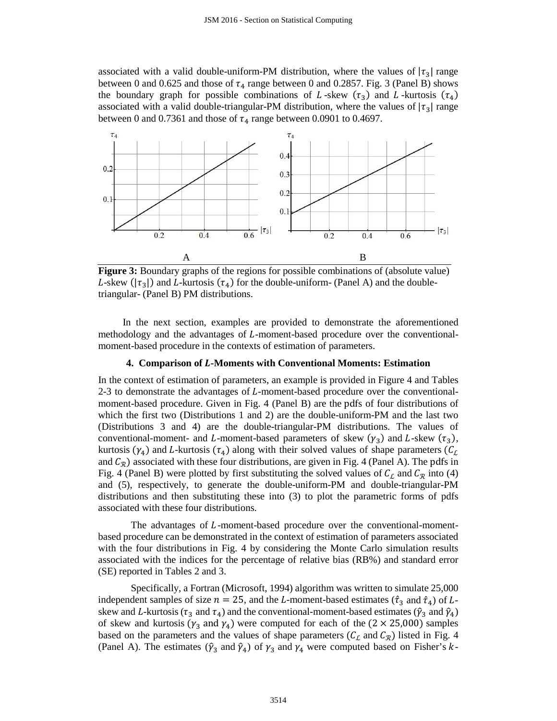associated with a valid double-uniform-PM distribution, where the values of  $|\tau_3|$  range between 0 and 0.625 and those of  $\tau_4$  range between 0 and 0.2857. Fig. 3 (Panel B) shows the boundary graph for possible combinations of L-skew ( $\tau_3$ ) and L-kurtosis ( $\tau_4$ ) associated with a valid double-triangular-PM distribution, where the values of  $|\tau_3|$  range between 0 and 0.7361 and those of  $\tau_4$  range between 0.0901 to 0.4697.



**Figure 3:** Boundary graphs of the regions for possible combinations of (absolute value) L-skew ( $|\tau_3|$ ) and L-kurtosis ( $\tau_4$ ) for the double-uniform- (Panel A) and the doubletriangular- (Panel B) PM distributions.

In the next section, examples are provided to demonstrate the aforementioned methodology and the advantages of  $L$ -moment-based procedure over the conventionalmoment-based procedure in the contexts of estimation of parameters.

## **4. Comparison of -Moments with Conventional Moments: Estimation**

In the context of estimation of parameters, an example is provided in Figure 4 and Tables 2-3 to demonstrate the advantages of *L*-moment-based procedure over the conventionalmoment-based procedure. Given in Fig. 4 (Panel B) are the pdfs of four distributions of which the first two (Distributions 1 and 2) are the double-uniform-PM and the last two (Distributions 3 and 4) are the double-triangular-PM distributions. The values of conventional-moment- and L-moment-based parameters of skew  $(\gamma_3)$  and L-skew  $(\tau_3)$ , kurtosis ( $\gamma_4$ ) and L-kurtosis ( $\tau_4$ ) along with their solved values of shape parameters ( $C_L$ and  $C_{\mathcal{R}}$ ) associated with these four distributions, are given in Fig. 4 (Panel A). The pdfs in Fig. 4 (Panel B) were plotted by first substituting the solved values of  $C_L$  and  $C_R$  into (4) and (5), respectively, to generate the double-uniform-PM and double-triangular-PM distributions and then substituting these into (3) to plot the parametric forms of pdfs associated with these four distributions.

The advantages of  $L$ -moment-based procedure over the conventional-momentbased procedure can be demonstrated in the context of estimation of parameters associated with the four distributions in Fig. 4 by considering the Monte Carlo simulation results associated with the indices for the percentage of relative bias (RB%) and standard error (SE) reported in Tables 2 and 3.

Specifically, a Fortran (Microsoft, 1994) algorithm was written to simulate 25,000 independent samples of size  $n = 25$ , and the L-moment-based estimates ( $\hat{\tau}_3$  and  $\hat{\tau}_4$ ) of Lskew and L-kurtosis ( $\tau_3$  and  $\tau_4$ ) and the conventional-moment-based estimates ( $\hat{\gamma}_3$  and  $\hat{\gamma}_4$ ) of skew and kurtosis ( $\gamma_3$  and  $\gamma_4$ ) were computed for each of the (2 × 25,000) samples based on the parameters and the values of shape parameters ( $C_{\mathcal{L}}$  and  $C_{\mathcal{R}}$ ) listed in Fig. 4 (Panel A). The estimates ( $\hat{y}_3$  and  $\hat{y}_4$ ) of  $\gamma_3$  and  $\gamma_4$  were computed based on Fisher's k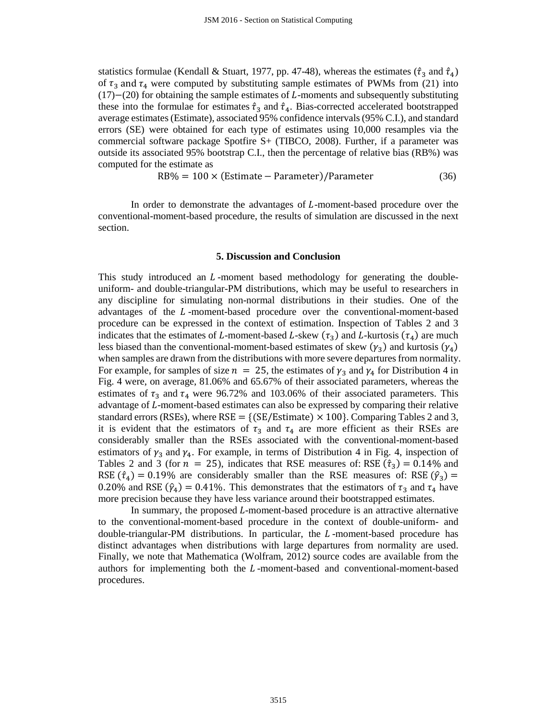statistics formulae (Kendall & Stuart, 1977, pp. 47-48), whereas the estimates ( $\hat{\tau}_3$  and  $\hat{\tau}_4$ ) of  $\tau_3$  and  $\tau_4$  were computed by substituting sample estimates of PWMs from (21) into  $(17)–(20)$  for obtaining the sample estimates of L-moments and subsequently substituting these into the formulae for estimates  $\hat{\tau}_3$  and  $\hat{\tau}_4$ . Bias-corrected accelerated bootstrapped average estimates(Estimate), associated 95% confidence intervals (95% C.I.), and standard errors (SE) were obtained for each type of estimates using 10,000 resamples via the commercial software package Spotfire S+ (TIBCO, 2008). Further, if a parameter was outside its associated 95% bootstrap C.I., then the percentage of relative bias (RB%) was computed for the estimate as

$$
RB\% = 100 \times (Estimate - Parameter)/Parameter
$$
 (36)

In order to demonstrate the advantages of  $L$ -moment-based procedure over the conventional-moment-based procedure, the results of simulation are discussed in the next section.

#### **5. Discussion and Conclusion**

This study introduced an  $L$ -moment based methodology for generating the doubleuniform- and double-triangular-PM distributions, which may be useful to researchers in any discipline for simulating non-normal distributions in their studies. One of the advantages of the L-moment-based procedure over the conventional-moment-based procedure can be expressed in the context of estimation. Inspection of Tables 2 and 3 indicates that the estimates of L-moment-based L-skew ( $\tau_3$ ) and L-kurtosis ( $\tau_4$ ) are much less biased than the conventional-moment-based estimates of skew  $(\gamma_3)$  and kurtosis  $(\gamma_4)$ when samples are drawn from the distributions with more severe departures from normality. For example, for samples of size  $n = 25$ , the estimates of  $\gamma_3$  and  $\gamma_4$  for Distribution 4 in Fig. 4 were, on average, 81.06% and 65.67% of their associated parameters, whereas the estimates of  $\tau_3$  and  $\tau_4$  were 96.72% and 103.06% of their associated parameters. This advantage of  $L$ -moment-based estimates can also be expressed by comparing their relative standard errors (RSEs), where RSE = {(SE/Estimate)  $\times$  100}. Comparing Tables 2 and 3, it is evident that the estimators of  $\tau_3$  and  $\tau_4$  are more efficient as their RSEs are considerably smaller than the RSEs associated with the conventional-moment-based estimators of  $\gamma_3$  and  $\gamma_4$ . For example, in terms of Distribution 4 in Fig. 4, inspection of Tables 2 and 3 (for  $n = 25$ ), indicates that RSE measures of: RSE  $(\hat{\tau}_3) = 0.14\%$  and RSE ( $\hat{\tau}_4$ ) = 0.19% are considerably smaller than the RSE measures of: RSE ( $\hat{\gamma}_3$ ) = 0.20% and RSE  $(\hat{\gamma}_4) = 0.41\%$ . This demonstrates that the estimators of  $\tau_3$  and  $\tau_4$  have more precision because they have less variance around their bootstrapped estimates.

In summary, the proposed  $L$ -moment-based procedure is an attractive alternative to the conventional-moment-based procedure in the context of double-uniform- and double-triangular-PM distributions. In particular, the  $L$ -moment-based procedure has distinct advantages when distributions with large departures from normality are used. Finally, we note that Mathematica (Wolfram, 2012) source codes are available from the authors for implementing both the  $L$ -moment-based and conventional-moment-based procedures.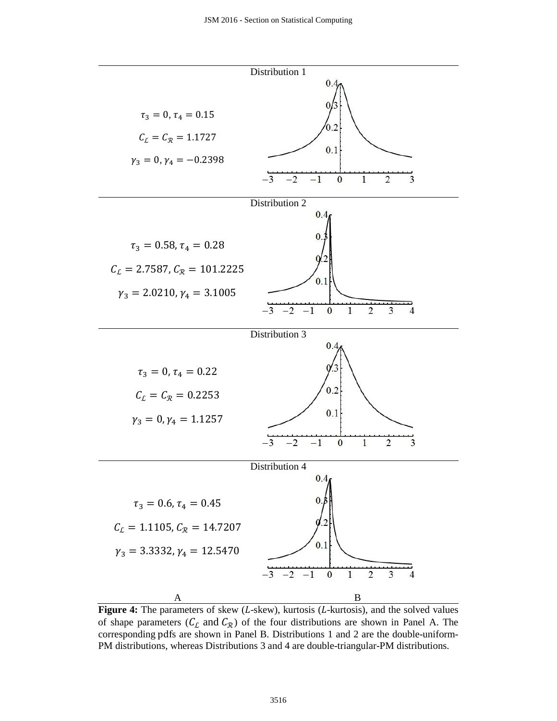

Figure 4: The parameters of skew (L-skew), kurtosis (L-kurtosis), and the solved values of shape parameters ( $C_L$  and  $C_R$ ) of the four distributions are shown in Panel A. The corresponding pdfs are shown in Panel B. Distributions 1 and 2 are the double-uniform-PM distributions, whereas Distributions 3 and 4 are double-triangular-PM distributions.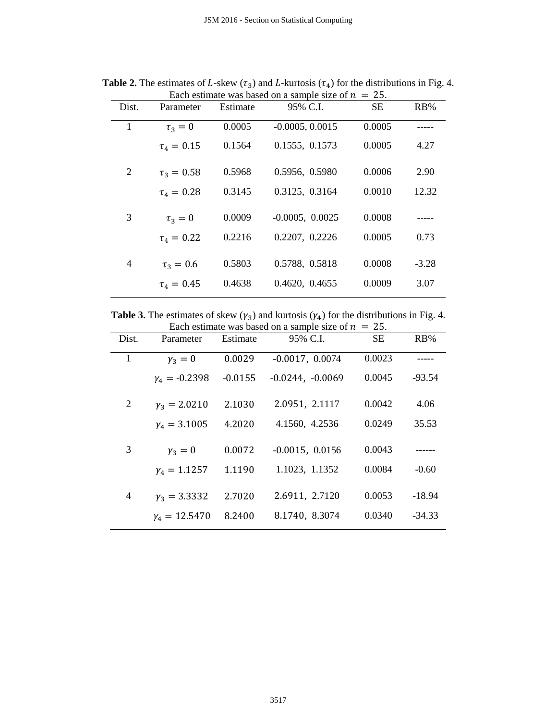| Dist. | Parameter         | Estimate | 95% C.I.          | <b>SE</b> | $RB\%$  |
|-------|-------------------|----------|-------------------|-----------|---------|
| 1     | $\tau_3=0$        | 0.0005   | $-0.0005, 0.0015$ | 0.0005    |         |
|       | $\tau_{4} = 0.15$ | 0.1564   | 0.1555, 0.1573    | 0.0005    | 4.27    |
| 2     | $\tau_3 = 0.58$   | 0.5968   | 0.5956, 0.5980    | 0.0006    | 2.90    |
|       | $\tau_4 = 0.28$   | 0.3145   | 0.3125, 0.3164    | 0.0010    | 12.32   |
| 3     | $\tau_3=0$        | 0.0009   | $-0.0005, 0.0025$ | 0.0008    |         |
|       | $\tau_4 = 0.22$   | 0.2216   | 0.2207, 0.2226    | 0.0005    | 0.73    |
| 4     | $\tau_3 = 0.6$    | 0.5803   | 0.5788, 0.5818    | 0.0008    | $-3.28$ |
|       | $\tau_4 = 0.45$   | 0.4638   | 0.4620, 0.4655    | 0.0009    | 3.07    |

**Table 2.** The estimates of L-skew  $(\tau_3)$  and L-kurtosis  $(\tau_4)$  for the distributions in Fig. 4. Each estimate was based on a sample size of  $n = 25$ .

**Table 3.** The estimates of skew  $(\gamma_3)$  and kurtosis  $(\gamma_4)$  for the distributions in Fig. 4.

| Each estimate was based on a sample size of $n = 25$ . |                      |           |                    |           |          |  |  |  |
|--------------------------------------------------------|----------------------|-----------|--------------------|-----------|----------|--|--|--|
| Dist.                                                  | Parameter            | Estimate  | 95% C.I.           | <b>SE</b> | RB%      |  |  |  |
| 1                                                      | $y_3 = 0$            | 0.0029    | $-0.0017, 0.0074$  | 0.0023    |          |  |  |  |
|                                                        | $\gamma_4 = -0.2398$ | $-0.0155$ | $-0.0244, -0.0069$ | 0.0045    | $-93.54$ |  |  |  |
| 2                                                      | $y_3 = 2.0210$       | 2.1030    | 2.0951, 2.1117     | 0.0042    | 4.06     |  |  |  |
|                                                        | $v_4 = 3.1005$       | 4.2020    | 4.1560, 4.2536     | 0.0249    | 35.53    |  |  |  |
| 3                                                      | $\gamma_3=0$         | 0.0072    | $-0.0015, 0.0156$  | 0.0043    |          |  |  |  |
|                                                        | $v_4 = 1.1257$       | 1.1190    | 1.1023, 1.1352     | 0.0084    | $-0.60$  |  |  |  |
| 4                                                      | $\gamma_3 = 3.3332$  | 2.7020    | 2.6911, 2.7120     | 0.0053    | $-18.94$ |  |  |  |
|                                                        | $y_4 = 12.5470$      | 8.2400    | 8.1740, 8.3074     | 0.0340    | $-34.33$ |  |  |  |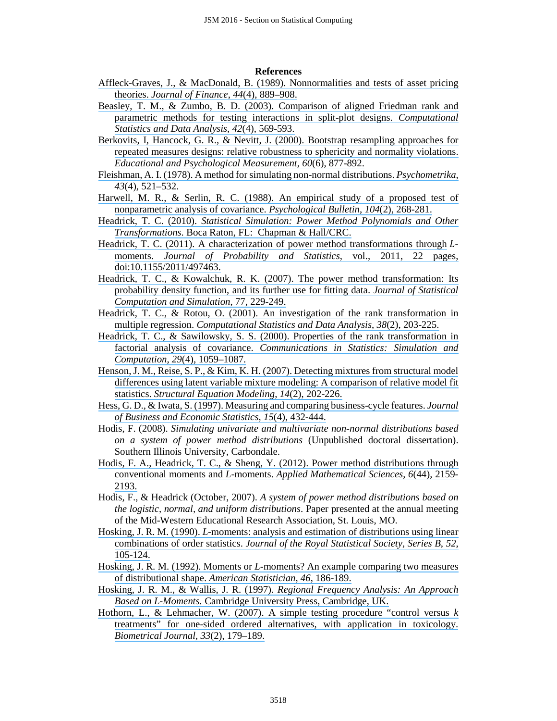#### **References**

- [Affleck-Graves, J., & MacDonald, B. \(1989\). Nonnormalities and tests of asset pricing](https://www.researchgate.net/publication/4992215_Nonnormalities_and_Tests_of_Asset_Pricing_Theories?el=1_x_8&enrichId=rgreq-00d976458d24f28527bbb3bc3bf5431b-XXX&enrichSource=Y292ZXJQYWdlOzMxMTMyNjQ5NztBUzo0MzQ5NDExNTk4NDE3OTNAMTQ4MDcwOTQ2MTY5Nw==) theories. *Journal of Finance*, *44*[\(4\), 889–908.](https://www.researchgate.net/publication/4992215_Nonnormalities_and_Tests_of_Asset_Pricing_Theories?el=1_x_8&enrichId=rgreq-00d976458d24f28527bbb3bc3bf5431b-XXX&enrichSource=Y292ZXJQYWdlOzMxMTMyNjQ5NztBUzo0MzQ5NDExNTk4NDE3OTNAMTQ4MDcwOTQ2MTY5Nw==)
- [Beasley, T. M., & Zumbo, B. D. \(2003\). Comparison of aligned Friedman rank and](https://www.researchgate.net/publication/4897666_Comparison_of_aligned_Friedman_rank_and_parametric_methods_for_testing_interactions_in_split-plot_designs?el=1_x_8&enrichId=rgreq-00d976458d24f28527bbb3bc3bf5431b-XXX&enrichSource=Y292ZXJQYWdlOzMxMTMyNjQ5NztBUzo0MzQ5NDExNTk4NDE3OTNAMTQ4MDcwOTQ2MTY5Nw==) [parametric methods for testing interactions in split-plot designs.](https://www.researchgate.net/publication/4897666_Comparison_of_aligned_Friedman_rank_and_parametric_methods_for_testing_interactions_in_split-plot_designs?el=1_x_8&enrichId=rgreq-00d976458d24f28527bbb3bc3bf5431b-XXX&enrichSource=Y292ZXJQYWdlOzMxMTMyNjQ5NztBUzo0MzQ5NDExNTk4NDE3OTNAMTQ4MDcwOTQ2MTY5Nw==) *Computational [Statistics and Data Analysis](https://www.researchgate.net/publication/4897666_Comparison_of_aligned_Friedman_rank_and_parametric_methods_for_testing_interactions_in_split-plot_designs?el=1_x_8&enrichId=rgreq-00d976458d24f28527bbb3bc3bf5431b-XXX&enrichSource=Y292ZXJQYWdlOzMxMTMyNjQ5NztBUzo0MzQ5NDExNTk4NDE3OTNAMTQ4MDcwOTQ2MTY5Nw==)*, *42*(4), 569-593.
- Berkovits, I, Hancock, G. R., & Nevitt, [J. \(2000\). Bootstrap resampling approaches for](https://www.researchgate.net/publication/241752222_Bootstrap_Resampling_Approaches_for_Repeated_Measure_Designs_Relative_Robustness_to_Sphericity_and_Normality_Violations?el=1_x_8&enrichId=rgreq-00d976458d24f28527bbb3bc3bf5431b-XXX&enrichSource=Y292ZXJQYWdlOzMxMTMyNjQ5NztBUzo0MzQ5NDExNTk4NDE3OTNAMTQ4MDcwOTQ2MTY5Nw==) [repeated measures designs: relative robustness to sphericity and normality violations.](https://www.researchgate.net/publication/241752222_Bootstrap_Resampling_Approaches_for_Repeated_Measure_Designs_Relative_Robustness_to_Sphericity_and_Normality_Violations?el=1_x_8&enrichId=rgreq-00d976458d24f28527bbb3bc3bf5431b-XXX&enrichSource=Y292ZXJQYWdlOzMxMTMyNjQ5NztBUzo0MzQ5NDExNTk4NDE3OTNAMTQ4MDcwOTQ2MTY5Nw==) *[Educational and Psychological Measurement](https://www.researchgate.net/publication/241752222_Bootstrap_Resampling_Approaches_for_Repeated_Measure_Designs_Relative_Robustness_to_Sphericity_and_Normality_Violations?el=1_x_8&enrichId=rgreq-00d976458d24f28527bbb3bc3bf5431b-XXX&enrichSource=Y292ZXJQYWdlOzMxMTMyNjQ5NztBUzo0MzQ5NDExNTk4NDE3OTNAMTQ4MDcwOTQ2MTY5Nw==)*, *60*(6), 877-892.
- Fleishman, [A. I. \(1978\). A method for simulating non-normal distributions.](https://www.researchgate.net/publication/24062335_A_method_for_simulating_non-normal_distributions?el=1_x_8&enrichId=rgreq-00d976458d24f28527bbb3bc3bf5431b-XXX&enrichSource=Y292ZXJQYWdlOzMxMTMyNjQ5NztBUzo0MzQ5NDExNTk4NDE3OTNAMTQ4MDcwOTQ2MTY5Nw==) *Psychometrika*, *43*[\(4\), 521–532.](https://www.researchgate.net/publication/24062335_A_method_for_simulating_non-normal_distributions?el=1_x_8&enrichId=rgreq-00d976458d24f28527bbb3bc3bf5431b-XXX&enrichSource=Y292ZXJQYWdlOzMxMTMyNjQ5NztBUzo0MzQ5NDExNTk4NDE3OTNAMTQ4MDcwOTQ2MTY5Nw==)
- Harwell, M. R., & Serlin, [R. C. \(1988\). An empirical study of a proposed test of](https://www.researchgate.net/publication/232497923_An_Empirical_Study_of_a_Proposed_Test_of_Nonparametric_Analysis_of_Covariance?el=1_x_8&enrichId=rgreq-00d976458d24f28527bbb3bc3bf5431b-XXX&enrichSource=Y292ZXJQYWdlOzMxMTMyNjQ5NztBUzo0MzQ5NDExNTk4NDE3OTNAMTQ4MDcwOTQ2MTY5Nw==) [nonparametric analysis of covariance.](https://www.researchgate.net/publication/232497923_An_Empirical_Study_of_a_Proposed_Test_of_Nonparametric_Analysis_of_Covariance?el=1_x_8&enrichId=rgreq-00d976458d24f28527bbb3bc3bf5431b-XXX&enrichSource=Y292ZXJQYWdlOzMxMTMyNjQ5NztBUzo0MzQ5NDExNTk4NDE3OTNAMTQ4MDcwOTQ2MTY5Nw==) *Psychological Bulletin*, *104*(2), 268-281.
- Headrick, T. C. (2010). *[Statistical Simulation: Power Method Polynomials and Other](https://www.researchgate.net/publication/224983250_Statistical_Simulation_Power_Method_Polynomials_and_Other_Transformations?el=1_x_8&enrichId=rgreq-00d976458d24f28527bbb3bc3bf5431b-XXX&enrichSource=Y292ZXJQYWdlOzMxMTMyNjQ5NztBUzo0MzQ5NDExNTk4NDE3OTNAMTQ4MDcwOTQ2MTY5Nw==) Transformations*[. Boca Raton, FL: Chapman & Hall/CRC.](https://www.researchgate.net/publication/224983250_Statistical_Simulation_Power_Method_Polynomials_and_Other_Transformations?el=1_x_8&enrichId=rgreq-00d976458d24f28527bbb3bc3bf5431b-XXX&enrichSource=Y292ZXJQYWdlOzMxMTMyNjQ5NztBUzo0MzQ5NDExNTk4NDE3OTNAMTQ4MDcwOTQ2MTY5Nw==)
- Headrick, T. C.  $(2011)$ . A characterization of power method transformations through  $L$ moments. *[Journal of Probability and Statistics](https://www.researchgate.net/publication/224983251_A_Characterization_of_Power_Method_Transformations_through_L-Moments?el=1_x_8&enrichId=rgreq-00d976458d24f28527bbb3bc3bf5431b-XXX&enrichSource=Y292ZXJQYWdlOzMxMTMyNjQ5NztBUzo0MzQ5NDExNTk4NDE3OTNAMTQ4MDcwOTQ2MTY5Nw==)*, vol., 2011, 22 pages, [doi:10.1155/2011/497463.](https://www.researchgate.net/publication/224983251_A_Characterization_of_Power_Method_Transformations_through_L-Moments?el=1_x_8&enrichId=rgreq-00d976458d24f28527bbb3bc3bf5431b-XXX&enrichSource=Y292ZXJQYWdlOzMxMTMyNjQ5NztBUzo0MzQ5NDExNTk4NDE3OTNAMTQ4MDcwOTQ2MTY5Nw==)
- [Headrick, T. C., & Kowalchuk, R. K. \(2007\). The power method transformation: Its](https://www.researchgate.net/publication/224983243_The_power_method_transformation_It) [probability density function, and its further use for fitting data.](https://www.researchgate.net/publication/224983243_The_power_method_transformation_It) *Journal of Statistical [Computation and Simulation](https://www.researchgate.net/publication/224983243_The_power_method_transformation_It)*, 77, 229-249.
- Headrick, T. C., & [Rotou, O. \(2001\). An investigation of the rank transformation in](https://www.researchgate.net/publication/4896005_An_investigation_of_the_rank_transformation_in_multiple_regression?el=1_x_8&enrichId=rgreq-00d976458d24f28527bbb3bc3bf5431b-XXX&enrichSource=Y292ZXJQYWdlOzMxMTMyNjQ5NztBUzo0MzQ5NDExNTk4NDE3OTNAMTQ4MDcwOTQ2MTY5Nw==) multiple regression. *[Computational Statistics and Data Analysis](https://www.researchgate.net/publication/4896005_An_investigation_of_the_rank_transformation_in_multiple_regression?el=1_x_8&enrichId=rgreq-00d976458d24f28527bbb3bc3bf5431b-XXX&enrichSource=Y292ZXJQYWdlOzMxMTMyNjQ5NztBUzo0MzQ5NDExNTk4NDE3OTNAMTQ4MDcwOTQ2MTY5Nw==)*, *38*(2), 203-225.
- Headrick, T. C., & Sawilowsky, [S. S. \(2000\). Properties of the rank transformation in](https://www.researchgate.net/publication/224862758_Properties_of_the_rank_transformation_in_factorial_analysis_of_covariance?el=1_x_8&enrichId=rgreq-00d976458d24f28527bbb3bc3bf5431b-XXX&enrichSource=Y292ZXJQYWdlOzMxMTMyNjQ5NztBUzo0MzQ5NDExNTk4NDE3OTNAMTQ4MDcwOTQ2MTY5Nw==)  factorial analysis of covariance. *[Communications in Statistics: Simulation and](https://www.researchgate.net/publication/224862758_Properties_of_the_rank_transformation_in_factorial_analysis_of_covariance?el=1_x_8&enrichId=rgreq-00d976458d24f28527bbb3bc3bf5431b-XXX&enrichSource=Y292ZXJQYWdlOzMxMTMyNjQ5NztBUzo0MzQ5NDExNTk4NDE3OTNAMTQ4MDcwOTQ2MTY5Nw==)  Computation*, *29*[\(4\), 1059–1087.](https://www.researchgate.net/publication/224862758_Properties_of_the_rank_transformation_in_factorial_analysis_of_covariance?el=1_x_8&enrichId=rgreq-00d976458d24f28527bbb3bc3bf5431b-XXX&enrichSource=Y292ZXJQYWdlOzMxMTMyNjQ5NztBUzo0MzQ5NDExNTk4NDE3OTNAMTQ4MDcwOTQ2MTY5Nw==)
- Henson, J. M., Reise, [S. P., & Kim, K. H. \(2007\). Detecting mixtures from structural model](https://www.researchgate.net/publication/280798785_Detecting_mixtures_from_structural_model_differences_using_latent_variable_mixture_modeling_A_comparison_of_relative_model_fit_statistics?el=1_x_8&enrichId=rgreq-00d976458d24f28527bbb3bc3bf5431b-XXX&enrichSource=Y292ZXJQYWdlOzMxMTMyNjQ5NztBUzo0MzQ5NDExNTk4NDE3OTNAMTQ4MDcwOTQ2MTY5Nw==) [differences using latent variable mixture modeling: A comparison of relative model fit](https://www.researchgate.net/publication/280798785_Detecting_mixtures_from_structural_model_differences_using_latent_variable_mixture_modeling_A_comparison_of_relative_model_fit_statistics?el=1_x_8&enrichId=rgreq-00d976458d24f28527bbb3bc3bf5431b-XXX&enrichSource=Y292ZXJQYWdlOzMxMTMyNjQ5NztBUzo0MzQ5NDExNTk4NDE3OTNAMTQ4MDcwOTQ2MTY5Nw==) statistics. *[Structural Equation Modeling](https://www.researchgate.net/publication/280798785_Detecting_mixtures_from_structural_model_differences_using_latent_variable_mixture_modeling_A_comparison_of_relative_model_fit_statistics?el=1_x_8&enrichId=rgreq-00d976458d24f28527bbb3bc3bf5431b-XXX&enrichSource=Y292ZXJQYWdlOzMxMTMyNjQ5NztBUzo0MzQ5NDExNTk4NDE3OTNAMTQ4MDcwOTQ2MTY5Nw==)*, *14*(2), 202-226.
- Hess, G. D., & Iwata, [S. \(1997\). Measuring and comparing business-cycle features.](https://www.researchgate.net/publication/4719658_Measuring_and_Comparing_Business-Cycle_Features?el=1_x_8&enrichId=rgreq-00d976458d24f28527bbb3bc3bf5431b-XXX&enrichSource=Y292ZXJQYWdlOzMxMTMyNjQ5NztBUzo0MzQ5NDExNTk4NDE3OTNAMTQ4MDcwOTQ2MTY5Nw==) *Journal [of Business and Economic Statistics](https://www.researchgate.net/publication/4719658_Measuring_and_Comparing_Business-Cycle_Features?el=1_x_8&enrichId=rgreq-00d976458d24f28527bbb3bc3bf5431b-XXX&enrichSource=Y292ZXJQYWdlOzMxMTMyNjQ5NztBUzo0MzQ5NDExNTk4NDE3OTNAMTQ4MDcwOTQ2MTY5Nw==)*, *15*(4), 432-444.
- Hodis, F. (2008). *Simulating univariate and multivariate non-normal distributions based on a system of power method distributions* (Unpublished doctoral dissertation). Southern Illinois University, Carbondale.
- [Hodis, F. A., Headrick, T. C., & Sheng, Y. \(2012\). Power method distributions through](https://www.researchgate.net/publication/224983259_Power_method_distributions_through_conventional_moments_and_L-moments?el=1_x_8&enrichId=rgreq-00d976458d24f28527bbb3bc3bf5431b-XXX&enrichSource=Y292ZXJQYWdlOzMxMTMyNjQ5NztBUzo0MzQ5NDExNTk4NDE3OTNAMTQ4MDcwOTQ2MTY5Nw==)  conventional moments and *L*-moments. *[Applied Mathematical Sciences](https://www.researchgate.net/publication/224983259_Power_method_distributions_through_conventional_moments_and_L-moments?el=1_x_8&enrichId=rgreq-00d976458d24f28527bbb3bc3bf5431b-XXX&enrichSource=Y292ZXJQYWdlOzMxMTMyNjQ5NztBUzo0MzQ5NDExNTk4NDE3OTNAMTQ4MDcwOTQ2MTY5Nw==)*, *6*(44), 2159- [2193.](https://www.researchgate.net/publication/224983259_Power_method_distributions_through_conventional_moments_and_L-moments?el=1_x_8&enrichId=rgreq-00d976458d24f28527bbb3bc3bf5431b-XXX&enrichSource=Y292ZXJQYWdlOzMxMTMyNjQ5NztBUzo0MzQ5NDExNTk4NDE3OTNAMTQ4MDcwOTQ2MTY5Nw==)
- Hodis, F., & Headrick (October, 2007). *A system of power method distributions based on the logistic, normal, and uniform distributions*. Paper presented at the annual meeting of the Mid-Western Educational Research Association, St. Louis, MO.
- Hosking, J. R. M. (1990). *L*[-moments: analysis and estimation of distributions using linear](https://www.researchgate.net/publication/239061225_L-Moment_-_Analysis_and_Estimation_of_Distributions_Using_Linear-Combinations_of_Order-Statistics?el=1_x_8&enrichId=rgreq-00d976458d24f28527bbb3bc3bf5431b-XXX&enrichSource=Y292ZXJQYWdlOzMxMTMyNjQ5NztBUzo0MzQ5NDExNTk4NDE3OTNAMTQ4MDcwOTQ2MTY5Nw==) combinations of order statistics. *[Journal of the Royal Statistical Society](https://www.researchgate.net/publication/239061225_L-Moment_-_Analysis_and_Estimation_of_Distributions_Using_Linear-Combinations_of_Order-Statistics?el=1_x_8&enrichId=rgreq-00d976458d24f28527bbb3bc3bf5431b-XXX&enrichSource=Y292ZXJQYWdlOzMxMTMyNjQ5NztBUzo0MzQ5NDExNTk4NDE3OTNAMTQ4MDcwOTQ2MTY5Nw==)*, *Series B*, *52*, [105-124.](https://www.researchgate.net/publication/239061225_L-Moment_-_Analysis_and_Estimation_of_Distributions_Using_Linear-Combinations_of_Order-Statistics?el=1_x_8&enrichId=rgreq-00d976458d24f28527bbb3bc3bf5431b-XXX&enrichSource=Y292ZXJQYWdlOzMxMTMyNjQ5NztBUzo0MzQ5NDExNTk4NDE3OTNAMTQ4MDcwOTQ2MTY5Nw==)
- Hosking, J. R. M. (1992). Moments or *L*[-moments? An example comparing two measures](https://www.researchgate.net/publication/246865259_Moments_or_L_Moments_An_Example_Comparing_Two_Measures_of_Distributional_Shape?el=1_x_8&enrichId=rgreq-00d976458d24f28527bbb3bc3bf5431b-XXX&enrichSource=Y292ZXJQYWdlOzMxMTMyNjQ5NztBUzo0MzQ5NDExNTk4NDE3OTNAMTQ4MDcwOTQ2MTY5Nw==)  [of distributional shape.](https://www.researchgate.net/publication/246865259_Moments_or_L_Moments_An_Example_Comparing_Two_Measures_of_Distributional_Shape?el=1_x_8&enrichId=rgreq-00d976458d24f28527bbb3bc3bf5431b-XXX&enrichSource=Y292ZXJQYWdlOzMxMTMyNjQ5NztBUzo0MzQ5NDExNTk4NDE3OTNAMTQ4MDcwOTQ2MTY5Nw==) *American Statistician*, *46*, 186-189.
- Hosking, J. R. M., & Wallis, J. R. (1997). *[Regional Frequency Analysis: An Approach](https://www.researchgate.net/publication/269864369_Regional_Frequency_Analysis_An_Approach_Based_on_L-Moments?el=1_x_8&enrichId=rgreq-00d976458d24f28527bbb3bc3bf5431b-XXX&enrichSource=Y292ZXJQYWdlOzMxMTMyNjQ5NztBUzo0MzQ5NDExNTk4NDE3OTNAMTQ4MDcwOTQ2MTY5Nw==)  Based on L-Moments.* [Cambridge University Press, Cambridge, UK.](https://www.researchgate.net/publication/269864369_Regional_Frequency_Analysis_An_Approach_Based_on_L-Moments?el=1_x_8&enrichId=rgreq-00d976458d24f28527bbb3bc3bf5431b-XXX&enrichSource=Y292ZXJQYWdlOzMxMTMyNjQ5NztBUzo0MzQ5NDExNTk4NDE3OTNAMTQ4MDcwOTQ2MTY5Nw==)
- Hothorn, L., & Lehmacher, [W. \(2007\). A simple testing procedure "control versus](https://www.researchgate.net/publication/242939459_A_Simple_Testing_Procedure_Control_versusk_Treatments_for_One-sided_Ordered_Alternatives_with_Application_in_Toxicology?el=1_x_8&enrichId=rgreq-00d976458d24f28527bbb3bc3bf5431b-XXX&enrichSource=Y292ZXJQYWdlOzMxMTMyNjQ5NztBUzo0MzQ5NDExNTk4NDE3OTNAMTQ4MDcwOTQ2MTY5Nw==) *k* [treatments" for one-sided ordered alternatives, with application in toxicology.](https://www.researchgate.net/publication/242939459_A_Simple_Testing_Procedure_Control_versusk_Treatments_for_One-sided_Ordered_Alternatives_with_Application_in_Toxicology?el=1_x_8&enrichId=rgreq-00d976458d24f28527bbb3bc3bf5431b-XXX&enrichSource=Y292ZXJQYWdlOzMxMTMyNjQ5NztBUzo0MzQ5NDExNTk4NDE3OTNAMTQ4MDcwOTQ2MTY5Nw==)  *[Biometrical Journal](https://www.researchgate.net/publication/242939459_A_Simple_Testing_Procedure_Control_versusk_Treatments_for_One-sided_Ordered_Alternatives_with_Application_in_Toxicology?el=1_x_8&enrichId=rgreq-00d976458d24f28527bbb3bc3bf5431b-XXX&enrichSource=Y292ZXJQYWdlOzMxMTMyNjQ5NztBUzo0MzQ5NDExNTk4NDE3OTNAMTQ4MDcwOTQ2MTY5Nw==)*, *33*(2), 179–189.